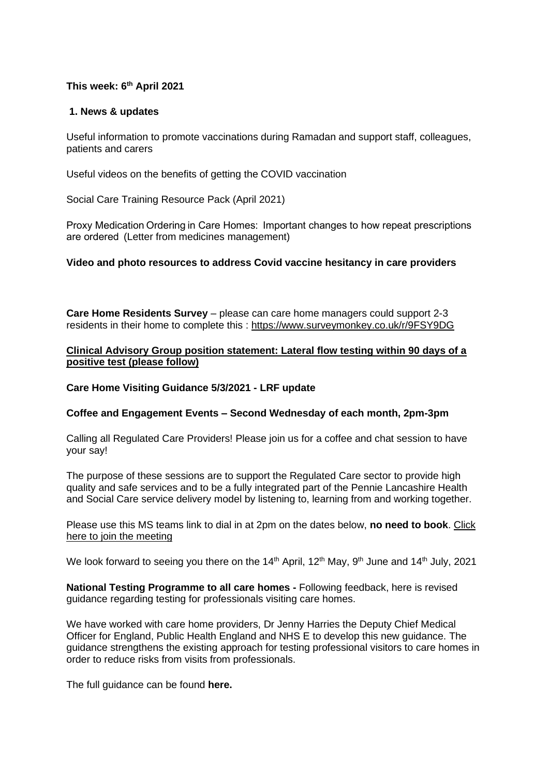#### **This week: 6 th April 2021**

#### **1. News & updates**

Useful information to promote vaccinations during Ramadan and support staff, colleagues, patients and carers

Useful videos on the benefits of getting the COVID vaccination

Social Care Training Resource Pack (April 2021)

Proxy Medication Ordering in Care Homes:  Important changes to how repeat prescriptions are ordered  (Letter from medicines management)

#### **[Video and photo resources to address Covid vaccine hesitancy in care providers](https://eastlancsccg.nhs.uk/images/Covid_vaccine_for_care_home_residents_and_staff_V6.pdf)**

**Care Home Residents Survey** – please can care home managers could support 2-3 residents in their home to complete this : <https://www.surveymonkey.co.uk/r/9FSY9DG>

#### **[Clinical Advisory Group position statement: Lateral flow testing within 90 days of a](https://eastlancsccg.nhs.uk/images/Clinical_Advisory_Group_position_statement.docx)  [positive test](https://eastlancsccg.nhs.uk/images/Clinical_Advisory_Group_position_statement.docx) (please follow)**

#### **[Care Home Visiting Guidance 5/3/2021 -](https://eastlancsccg.nhs.uk/images/RegulatedCareSector/05.03.2021_-_Care_Home_Visiting_Policy_Update.pdf.docx) LRF update**

#### **Coffee and Engagement Events – Second Wednesday of each month, 2pm-3pm**

Calling all Regulated Care Providers! Please join us for a coffee and chat session to have your say!

The purpose of these sessions are to support the Regulated Care sector to provide high quality and safe services and to be a fully integrated part of the Pennie Lancashire Health and Social Care service delivery model by listening to, learning from and working together.

Please use this MS teams link to dial in at 2pm on the dates below, **no need to book**. [Click](https://teams.microsoft.com/l/meetup-join/19%3ameeting_NjkxOTI3M2MtMzdlNC00MDliLWFhMjgtZmZiZjMzZGI5OTkw%40thread.v2/0?context=%7b%22Tid%22%3a%2237c354b2-85b0-47f5-b222-07b48d774ee3%22%2c%22Oid%22%3a%22a2ec35af-1c40-4f8f-8903-a088b26ed2a2%22%7d)  [here to join the meeting](https://teams.microsoft.com/l/meetup-join/19%3ameeting_NjkxOTI3M2MtMzdlNC00MDliLWFhMjgtZmZiZjMzZGI5OTkw%40thread.v2/0?context=%7b%22Tid%22%3a%2237c354b2-85b0-47f5-b222-07b48d774ee3%22%2c%22Oid%22%3a%22a2ec35af-1c40-4f8f-8903-a088b26ed2a2%22%7d)

We look forward to seeing you there on the 14<sup>th</sup> April, 12<sup>th</sup> May, 9<sup>th</sup> June and 14<sup>th</sup> July, 2021

**National Testing Programme to all care homes -** Following feedback, here is revised guidance regarding testing for professionals visiting care homes.

We have worked with care home providers, Dr Jenny Harries the Deputy Chief Medical Officer for England, Public Health England and NHS E to develop this new guidance. The guidance strengthens the existing approach for testing professional visitors to care homes in order to reduce risks from visits from professionals.

The full guidance can be found **[here.](https://www.gov.uk/government/publications/coronavirus-covid-19-lateral-flow-testing-in-adult-social-care-settings/testing-for-professionals-visiting-care-homes)**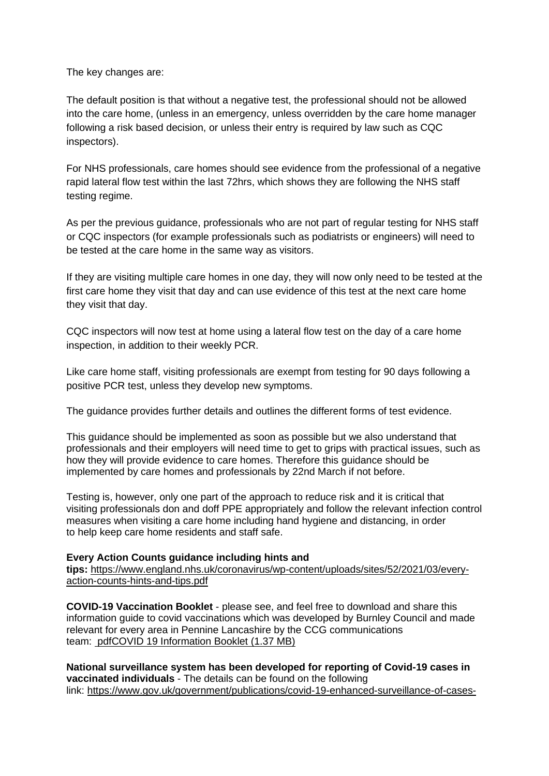The key changes are:

The default position is that without a negative test, the professional should not be allowed into the care home, (unless in an emergency, unless overridden by the care home manager following a risk based decision, or unless their entry is required by law such as CQC inspectors).

For NHS professionals, care homes should see evidence from the professional of a negative rapid lateral flow test within the last 72hrs, which shows they are following the NHS staff testing regime.

As per the previous guidance, professionals who are not part of regular testing for NHS staff or CQC inspectors (for example professionals such as podiatrists or engineers) will need to be tested at the care home in the same way as visitors.

If they are visiting multiple care homes in one day, they will now only need to be tested at the first care home they visit that day and can use evidence of this test at the next care home they visit that day.

CQC inspectors will now test at home using a lateral flow test on the day of a care home inspection, in addition to their weekly PCR.

Like care home staff, visiting professionals are exempt from testing for 90 days following a positive PCR test, unless they develop new symptoms.

The guidance provides further details and outlines the different forms of test evidence.

This guidance should be implemented as soon as possible but we also understand that professionals and their employers will need time to get to grips with practical issues, such as how they will provide evidence to care homes. Therefore this guidance should be implemented by care homes and professionals by 22nd March if not before.

Testing is, however, only one part of the approach to reduce risk and it is critical that visiting professionals don and doff PPE appropriately and follow the relevant infection control measures when visiting a care home including hand hygiene and distancing, in order to help keep care home residents and staff safe.

# **Every Action Counts guidance including hints and**

**tips:** [https://www.england.nhs.uk/coronavirus/wp-content/uploads/sites/52/2021/03/every](https://www.england.nhs.uk/coronavirus/wp-content/uploads/sites/52/2021/03/every-action-counts-hints-and-tips.pdf)[action-counts-hints-and-tips.pdf](https://www.england.nhs.uk/coronavirus/wp-content/uploads/sites/52/2021/03/every-action-counts-hints-and-tips.pdf)

**COVID-19 Vaccination Booklet** - please see, and feel free to download and share this information guide to covid vaccinations which was developed by Burnley Council and made relevant for every area in Pennine Lancashire by the CCG communications team: [pdfCOVID 19 Information Booklet](https://eastlancsccg.nhs.uk/about-us/publications/2793-covid-19-information-booklet-2) (1.37 MB)

**National surveillance system has been developed for reporting of Covid-19 cases in vaccinated individuals** - The details can be found on the following link: [https://www.gov.uk/government/publications/covid-19-enhanced-surveillance-of-cases-](https://www.gov.uk/government/publications/covid-19-enhanced-surveillance-of-cases-in-vaccinated-individuals/reporting-to-the-enhanced-surveillance-of-covid-19-cases-in-vaccinated-individuals)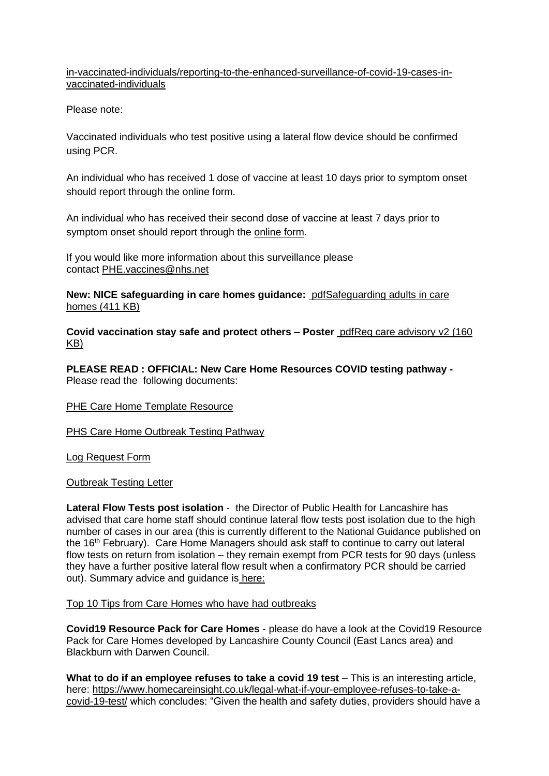[in-vaccinated-individuals/reporting-to-the-enhanced-surveillance-of-covid-19-cases-in](https://www.gov.uk/government/publications/covid-19-enhanced-surveillance-of-cases-in-vaccinated-individuals/reporting-to-the-enhanced-surveillance-of-covid-19-cases-in-vaccinated-individuals)[vaccinated-individuals](https://www.gov.uk/government/publications/covid-19-enhanced-surveillance-of-cases-in-vaccinated-individuals/reporting-to-the-enhanced-surveillance-of-covid-19-cases-in-vaccinated-individuals)

Please note:

Vaccinated individuals who test positive using a lateral flow device should be confirmed using PCR.

An individual who has received 1 dose of vaccine at least 10 days prior to symptom onset should report through the online form.

An individual who has received their second dose of vaccine at least 7 days prior to symptom onset should report through the [online form.](https://snapsurvey.phe.org.uk/snapwebhost/s.asp?k=161037673124)

If you would like more information about this surveillance please contact [PHE.vaccines@nhs.net](mailto:PHE.vaccines@nhs.net)

**New: NICE safeguarding in care homes guidance:** [pdfSafeguarding adults in care](https://eastlancsccg.nhs.uk/about-us/publications/2794-safeguarding-adults-in-care-homes)  homes [\(411 KB\)](https://eastlancsccg.nhs.uk/about-us/publications/2794-safeguarding-adults-in-care-homes)

**Covid vaccination stay safe and protect others – Poster** [pdfReg care advisory v2](https://eastlancsccg.nhs.uk/about-us/publications/2796-reg-care-advisory-v2) (160 [KB\)](https://eastlancsccg.nhs.uk/about-us/publications/2796-reg-care-advisory-v2)

**PLEASE READ : OFFICIAL: New Care Home Resources COVID testing pathway -** Please read the following documents:

# [PHE Care Home Template Resource](https://eastlancsccg.nhs.uk/images/PHE_NW_ARI_Care_Home_Template_Resource_v2.1_18022021.pptx)

# [PHS Care Home Outbreak Testing Pathway](https://eastlancsccg.nhs.uk/images/PHE_NW_ARI_Care_Home_Outbreak_Testing_Pathway_v1.6_19022021.pdf)

[Log Request Form](https://eastlancsccg.nhs.uk/images/ILog_Request_Form_v10.docx)

[Outbreak Testing Letter](https://eastlancsccg.nhs.uk/images/Outbreak_testing_letter_16_Feb.pdf)

**Lateral Flow Tests post isolation** - the Director of Public Health for Lancashire has advised that care home staff should continue lateral flow tests post isolation due to the high number of cases in our area (this is currently different to the National Guidance published on the 16<sup>th</sup> February). Care Home Managers should ask staff to continue to carry out lateral flow tests on return from isolation – they remain exempt from PCR tests for 90 days (unless they have a further positive lateral flow result when a confirmatory PCR should be carried out). Summary advice and guidance is [here:](https://eastlancsccg.nhs.uk/images/DPHAdvice_LFD_care.docx)

#### [Top 10 Tips from Care Homes who have had outbreaks](https://eastlancsccg.nhs.uk/images/RegulatedCareSector/Top_ten_tips.docx)

**[Covid19 Resource Pack for Care Homes](https://www.lancashire.gov.uk/practitioners/health-and-social-care/care-service-provider-engagement/coronavirus-covid-19-information-for-care-providers/residential-and-nursing-care/)** - please do have a look at the Covid19 Resource Pack for Care Homes developed by Lancashire County Council (East Lancs area) and Blackburn with Darwen Council.

**What to do if an employee refuses to take a covid 19 test** – This is an interesting article, here: [https://www.homecareinsight.co.uk/legal-what-if-your-employee-refuses-to-take-a](https://www.homecareinsight.co.uk/legal-what-if-your-employee-refuses-to-take-a-covid-19-test/)[covid-19-test/](https://www.homecareinsight.co.uk/legal-what-if-your-employee-refuses-to-take-a-covid-19-test/) which concludes: "Given the health and safety duties, providers should have a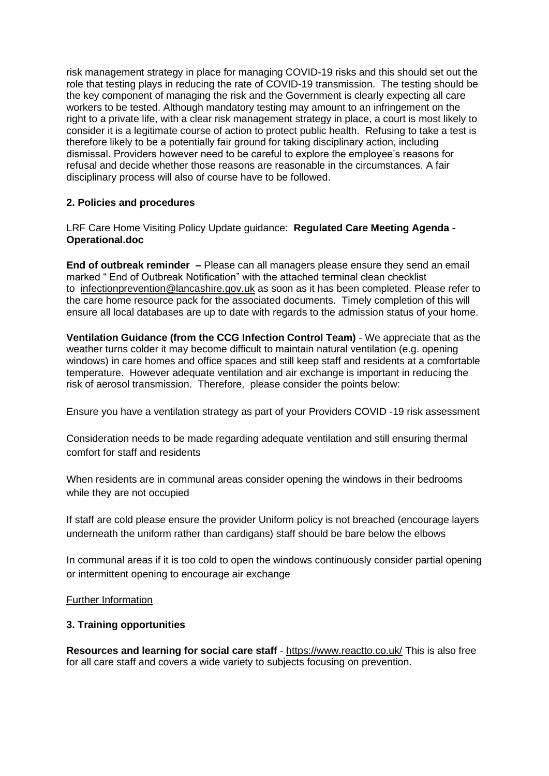risk management strategy in place for managing COVID-19 risks and this should set out the role that testing plays in reducing the rate of COVID-19 transmission. The testing should be the key component of managing the risk and the Government is clearly expecting all care workers to be tested. Although mandatory testing may amount to an infringement on the right to a private life, with a clear risk management strategy in place, a court is most likely to consider it is a legitimate course of action to protect public health. Refusing to take a test is therefore likely to be a potentially fair ground for taking disciplinary action, including dismissal. Providers however need to be careful to explore the employee's reasons for refusal and decide whether those reasons are reasonable in the circumstances. A fair disciplinary process will also of course have to be followed.

# **2. Policies and procedures**

LRF Care Home Visiting Policy Update guidance: **[Regulated Care Meeting Agenda -](https://eastlancsccg.nhs.uk/images/RegulatedCareSector/2021_03_09_Regulated_Care_Meeting_Agenda_-_Operational.doc.docx) [Operational.doc](https://eastlancsccg.nhs.uk/images/RegulatedCareSector/2021_03_09_Regulated_Care_Meeting_Agenda_-_Operational.doc.docx)**

**End of outbreak reminder –** Please can all managers please ensure they send an email marked " End of Outbreak Notification" with the attached terminal clean checklist to [infectionprevention@lancashire.gov.uk](mailto:infectionprevention@lancashire.gov.uk) as soon as it has been completed. Please refer to the care home resource pack for the associated documents. Timely completion of this will ensure all local databases are up to date with regards to the admission status of your home.

**Ventilation Guidance (from the CCG Infection Control Team)** - We appreciate that as the weather turns colder it may become difficult to maintain natural ventilation (e.g. opening windows) in care homes and office spaces and still keep staff and residents at a comfortable temperature. However adequate ventilation and air exchange is important in reducing the risk of aerosol transmission. Therefore, please consider the points below:

Ensure you have a ventilation strategy as part of your Providers COVID -19 risk assessment

Consideration needs to be made regarding adequate ventilation and still ensuring thermal comfort for staff and residents

When residents are in communal areas consider opening the windows in their bedrooms while they are not occupied

If staff are cold please ensure the provider Uniform policy is not breached (encourage layers underneath the uniform rather than cardigans) staff should be bare below the elbows

In communal areas if it is too cold to open the windows continuously consider partial opening or intermittent opening to encourage air exchange

# [Further Information](https://assets.publishing.service.gov.uk/government/uploads/system/uploads/attachment_data/file/928720/S0789_EMG_Role_of_Ventilation_in_Controlling_SARS-CoV-2_Transmission.pdf)

# **3. Training opportunities**

**Resources and learning for social care staff** - <https://www.reactto.co.uk/> This is also free for all care staff and covers a wide variety to subjects focusing on prevention.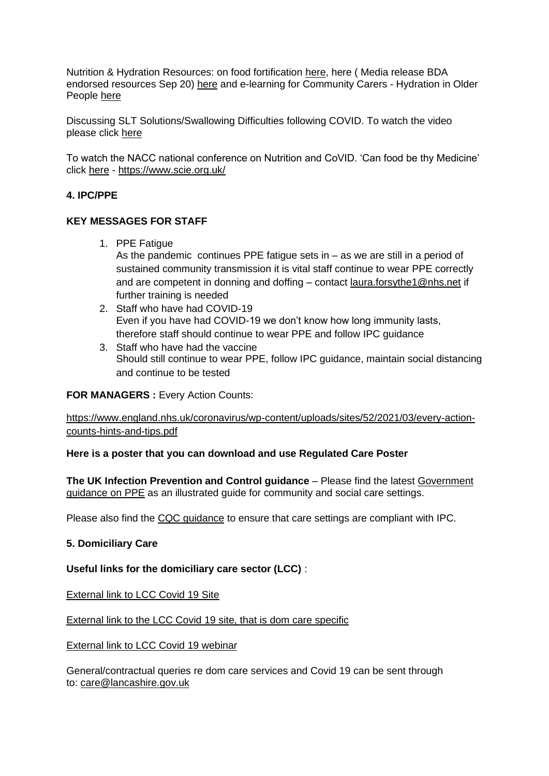Nutrition & Hydration Resources: on food fortification [here,](file:///C:/Users/libby.horsfield/AppData/Local/Microsoft/Windows/INetCache/Content.Outlook/JPBAACMK/images/Food_Fortification.pdf) here ( Media release BDA endorsed resources Sep 20) [here](file:///C:/Users/libby.horsfield/AppData/Local/Microsoft/Windows/INetCache/Content.Outlook/JPBAACMK/images/Media_release_BDA_endorsed_resources_Sep_20.docx) and e-learning for Community Carers - Hydration in Older People [here](file:///C:/Users/libby.horsfield/AppData/Local/Microsoft/Windows/INetCache/Content.Outlook/JPBAACMK/images/e-learning_for_Community_Carers_-_Hydration_in_Older_People.docx)

Discussing SLT Solutions/Swallowing Difficulties following COVID. To watch the video please click [here](https://bit.ly/2G8VuhL)

To watch the NACC national conference on Nutrition and CoVID. 'Can food be thy Medicine' click [here](https://bit.ly/2TnSmkZ) - <https://www.scie.org.uk/>

# **4. IPC/PPE**

# **KEY MESSAGES FOR STAFF**

- 1. PPE Fatigue As the pandemic continues PPE fatigue sets in – as we are still in a period of sustained community transmission it is vital staff continue to wear PPE correctly and are competent in donning and doffing – contact [laura.forsythe1@nhs.net](mailto:laura.forsythe1@nhs.net) if further training is needed
- 2. Staff who have had COVID-19 Even if you have had COVID-19 we don't know how long immunity lasts, therefore staff should continue to wear PPE and follow IPC guidance
- 3. Staff who have had the vaccine Should still continue to wear PPE, follow IPC guidance, maintain social distancing and continue to be tested

# **FOR MANAGERS : Every Action Counts:**

[https://www.england.nhs.uk/coronavirus/wp-content/uploads/sites/52/2021/03/every-action](https://www.england.nhs.uk/coronavirus/wp-content/uploads/sites/52/2021/03/every-action-counts-hints-and-tips.pdf)[counts-hints-and-tips.pdf](https://www.england.nhs.uk/coronavirus/wp-content/uploads/sites/52/2021/03/every-action-counts-hints-and-tips.pdf)

# **Here is a poster that you can download and use Regulated Care Poster**

**[The UK Infection Prevention and Control guidance](https://www.gov.uk/government/publications/wuhan-novel-coronavirus-infection-prevention-and-control)** – Please find the latest [Government](https://www.gov.uk/government/publications/personal-protective-equipment-ppe-illustrated-guide-for-community-and-social-care-settings)  [guidance on PPE](https://www.gov.uk/government/publications/personal-protective-equipment-ppe-illustrated-guide-for-community-and-social-care-settings) as an illustrated guide for community and social care settings.

Please also find the [CQC guidance](https://www.cqc.org.uk/guidance-providers/residential-adult-social-care/infection-prevention-control-care-homes) to ensure that care settings are compliant with IPC.

# **5. Domiciliary Care**

# **Useful links for the domiciliary care sector (LCC)** :

**[External link to LCC Covid 19 Site](https://www.lancashire.gov.uk/practitioners/health-and-social-care/care-service-provider-engagement/coronavirus-covid-19-information-for-care-providers/)** 

[External link to the LCC Covid 19 site, that is dom care specific](https://www.lancashire.gov.uk/practitioners/health-and-social-care/care-service-provider-engagement/coronavirus-covid-19-information-for-care-providers/home-care/)

[External link to LCC Covid 19 webinar](https://www.lancashire.gov.uk/practitioners/health-and-social-care/care-service-provider-engagement/coronavirus-covid-19-information-for-care-providers/local-communications-to-providers-and-service-users/covid-19-provider-engagement-webinars/)

General/contractual queries re dom care services and Covid 19 can be sent through to: [care@lancashire.gov.uk](mailto:care@lancashire.gov.uk)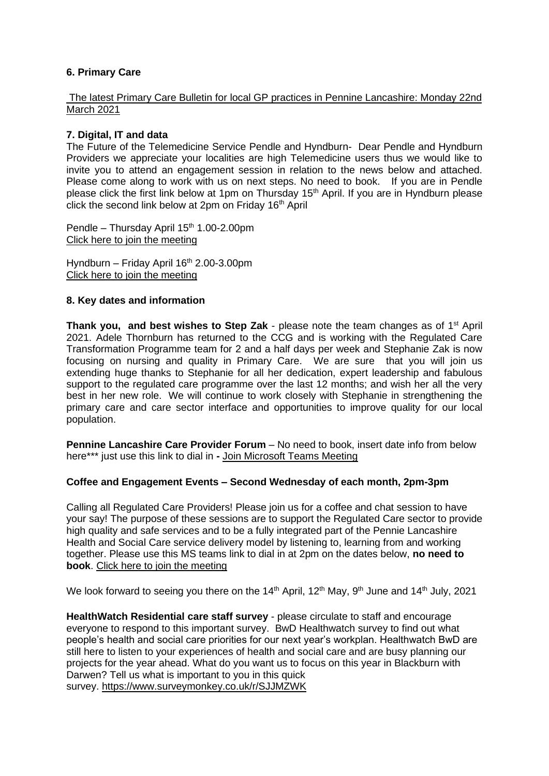# **6. Primary Care**

#### The latest Primary Care Bulletin [for local GP practices in Pennine Lancashire: Monday 22nd](https://eastlancsccg.nhs.uk/images/20210319_Primary_Care_Briefing_from_Dr_M_Dziobon_No_184_for_circulation.pdf)  [March 2021](https://eastlancsccg.nhs.uk/images/20210319_Primary_Care_Briefing_from_Dr_M_Dziobon_No_184_for_circulation.pdf)

# **7. Digital, IT and data**

The Future of the Telemedicine Service Pendle and Hyndburn- Dear Pendle and Hyndburn Providers we appreciate your localities are high Telemedicine users thus we would like to invite you to attend an engagement session in relation to the news below and attached. Please come along to work with us on next steps. No need to book. If you are in Pendle please click the first link below at 1pm on Thursday 15<sup>th</sup> April. If you are in Hyndburn please click the second link below at 2pm on Friday 16<sup>th</sup> April

Pendle – Thursday April 15<sup>th</sup> 1.00-2.00pm [Click here to join the meeting](https://teams.microsoft.com/l/meetup-join/19%3ameeting_NDdjNWJhODItOTA3NS00ZDliLWEwNTgtMDEzYTI5MmRlZTI2%40thread.v2/0?context=%7b%22Tid%22%3a%2237c354b2-85b0-47f5-b222-07b48d774ee3%22%2c%22Oid%22%3a%22a2ec35af-1c40-4f8f-8903-a088b26ed2a2%22%7d)

Hyndburn – Friday April  $16<sup>th</sup> 2.00-3.00$ pm [Click here to join the meeting](https://teams.microsoft.com/l/meetup-join/19%3ameeting_N2NjNDY5NjktNThlNC00NjhiLWFmODktYmQ0Y2FkZjYyNzgw%40thread.v2/0?context=%7b%22Tid%22%3a%2237c354b2-85b0-47f5-b222-07b48d774ee3%22%2c%22Oid%22%3a%22a2ec35af-1c40-4f8f-8903-a088b26ed2a2%22%7d)

#### **8. Key dates and information**

**Thank you, and best wishes to Step Zak** - please note the team changes as of 1st April 2021. Adele Thornburn has returned to the CCG and is working with the Regulated Care Transformation Programme team for 2 and a half days per week and Stephanie Zak is now focusing on nursing and quality in Primary Care. We are sure that you will join us extending huge thanks to Stephanie for all her dedication, expert leadership and fabulous support to the regulated care programme over the last 12 months; and wish her all the very best in her new role. We will continue to work closely with Stephanie in strengthening the primary care and care sector interface and opportunities to improve quality for our local population.

**Pennine Lancashire Care Provider Forum** – No need to book, insert date info from below here\*\*\* just use this link to dial in **-** [Join Microsoft Teams Meeting](https://teams.microsoft.com/l/meetup-join/19%3ameeting_OWE0ZjdiNjUtNTRmZC00YzE2LWFhMjYtYjk2MGRhOTQ5NTEw%40thread.v2/0?context=%7b%22Tid%22%3a%2237c354b2-85b0-47f5-b222-07b48d774ee3%22%2c%22Oid%22%3a%226ae1fd49-b6bd-4e18-8c59-b3f5992aa6e2%22%7d)

# **Coffee and Engagement Events – Second Wednesday of each month, 2pm-3pm**

Calling all Regulated Care Providers! Please join us for a coffee and chat session to have your say! The purpose of these sessions are to support the Regulated Care sector to provide high quality and safe services and to be a fully integrated part of the Pennie Lancashire Health and Social Care service delivery model by listening to, learning from and working together. Please use this MS teams link to dial in at 2pm on the dates below, **no need to book**. [Click here to join the meeting](https://teams.microsoft.com/l/meetup-join/19%3ameeting_NjkxOTI3M2MtMzdlNC00MDliLWFhMjgtZmZiZjMzZGI5OTkw%40thread.v2/0?context=%7b%22Tid%22%3a%2237c354b2-85b0-47f5-b222-07b48d774ee3%22%2c%22Oid%22%3a%22a2ec35af-1c40-4f8f-8903-a088b26ed2a2%22%7d)

We look forward to seeing you there on the 14<sup>th</sup> April, 12<sup>th</sup> May, 9<sup>th</sup> June and 14<sup>th</sup> July, 2021

**[HealthWatch Residential](https://www.surveymonkey.co.uk/r/F37VV7N) care staff survey** - please circulate to staff and encourage everyone to respond to this important survey. BwD Healthwatch survey to find out what people's health and social care priorities for our next year's workplan. Healthwatch BwD are still here to listen to your experiences of health and social care and are busy planning our projects for the year ahead. What do you want us to focus on this year in Blackburn with Darwen? Tell us what is important to you in this quick survey. <https://www.surveymonkey.co.uk/r/SJJMZWK>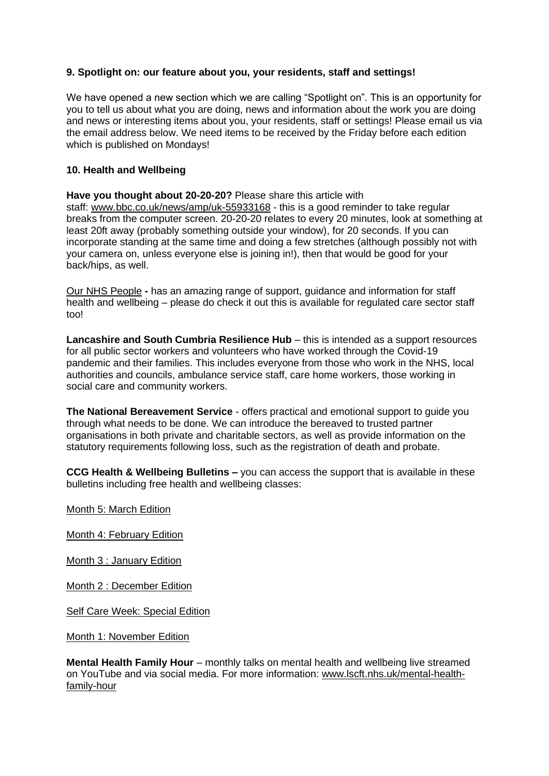# **9. Spotlight on: our feature about you, your residents, staff and settings!**

We have opened a new section which we are calling "Spotlight on". This is an opportunity for you to tell us about what you are doing, news and information about the work you are doing and news or interesting items about you, your residents, staff or settings! Please email us via the email address below. We need items to be received by the Friday before each edition which is published on Mondays!

# **10. Health and Wellbeing**

**Have you thought about 20-20-20?** Please share this article with staff: [www.bbc.co.uk/news/amp/uk-55933168](https://www.bbc.co.uk/news/amp/uk-55933168) - this is a good reminder to take regular breaks from the computer screen. 20-20-20 relates to every 20 minutes, look at something at least 20ft away (probably something outside your window), for 20 seconds. If you can incorporate standing at the same time and doing a few stretches (although possibly not with your camera on, unless everyone else is joining in!), then that would be good for your back/hips, as well.

[Our NHS People](https://people.nhs.uk/) **-** has an amazing range of support, guidance and information for staff health and wellbeing – please do check it out this is available for regulated care sector staff too!

**[Lancashire and South Cumbria Resilience Hub](https://lscresiliencehub.nhs.uk/)** – this is intended as a support resources for all public sector workers and volunteers who have worked through the Covid-19 pandemic and their families. This includes everyone from those who work in the NHS, local authorities and councils, ambulance service staff, care home workers, those working in social care and community workers.

**[The National Bereavement Service](http://thenbs.org/)** - offers practical and emotional support to guide you through what needs to be done. We can introduce the bereaved to trusted partner organisations in both private and charitable sectors, as well as provide information on the statutory requirements following loss, such as the registration of death and probate.

**CCG Health & Wellbeing Bulletins –** you can access the support that is available in these bulletins including free health and wellbeing classes:

[Month 5: March Edition](https://mailchi.mp/c6dffe14dc92/wellbeing-matters-february-edition-4867789?e=33308e05de)

[Month 4: February Edition](https://mailchi.mp/c66ed6edd91d/wellbeing-matters-february-edition?e=33308e05de)

[Month 3 : January Edition](https://mailchi.mp/7546d272ae92/wellbeing-matters-january-edition?e=33308e05de)

[Month 2 : December Edition](https://mailchi.mp/5e4fb149a062/wellbeing-matters-december-edition?e=33308e05de)

[Self Care Week: Special Edition](https://mailchi.mp/1c4d2c69e929/wellbeing-matters-self-care-week-special-edition?e=33308e05de)

[Month 1: November Edition](https://mailchi.mp/3c535df53902/wellbeing-matters-staff-bulletin?e=33308e05de)

**Mental Health Family Hour** – monthly talks on mental health and wellbeing live streamed on YouTube and via social media. For more information: [www.lscft.nhs.uk/mental-health](https://www.lscft.nhs.uk/mental-health-family-hour)[family-hour](https://www.lscft.nhs.uk/mental-health-family-hour)